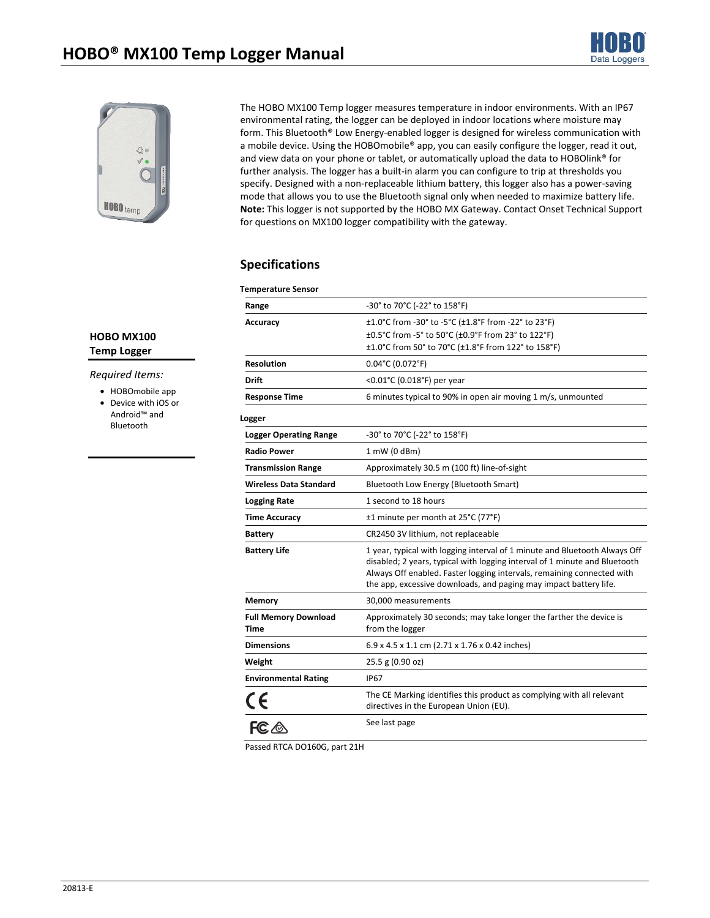



The HOBO MX100 Temp logger measures temperature in indoor environments. With an IP67 environmental rating, the logger can be deployed in indoor locations where moisture may form. This Bluetooth® Low Energy-enabled logger is designed for wireless communication with a mobile device. Using the HOBOmobile® app, you can easily configure the logger, read it out, and view data on your phone or tablet, or automatically upload the data to HOBOlink® for further analysis. The logger has a built-in alarm you can configure to trip at thresholds you specify. Designed with a non-replaceable lithium battery, this logger also has a power-saving mode that allows you to use the Bluetooth signal only when needed to maximize battery life. **Note:** This logger is not supported by the HOBO MX Gateway. Contact Onset Technical Support for questions on MX100 logger compatibility with the gateway.

# **Specifications**

| <b>Temperature Sensor</b>           |                                                                                                                                                                                                                                                                                                         |
|-------------------------------------|---------------------------------------------------------------------------------------------------------------------------------------------------------------------------------------------------------------------------------------------------------------------------------------------------------|
| Range                               | -30° to 70°C (-22° to 158°F)                                                                                                                                                                                                                                                                            |
| Accuracy                            | ±1.0°C from -30° to -5°C (±1.8°F from -22° to 23°F)                                                                                                                                                                                                                                                     |
|                                     | ±0.5°C from -5° to 50°C (±0.9°F from 23° to 122°F)                                                                                                                                                                                                                                                      |
|                                     | ±1.0°C from 50° to 70°C (±1.8°F from 122° to 158°F)                                                                                                                                                                                                                                                     |
| <b>Resolution</b>                   | $0.04^{\circ}$ C (0.072 $^{\circ}$ F)                                                                                                                                                                                                                                                                   |
| Drift                               | <0.01°C (0.018°F) per year                                                                                                                                                                                                                                                                              |
| <b>Response Time</b>                | 6 minutes typical to 90% in open air moving 1 m/s, unmounted                                                                                                                                                                                                                                            |
| Logger                              |                                                                                                                                                                                                                                                                                                         |
| <b>Logger Operating Range</b>       | -30° to 70°C (-22° to 158°F)                                                                                                                                                                                                                                                                            |
| <b>Radio Power</b>                  | 1 mW (0 dBm)                                                                                                                                                                                                                                                                                            |
| <b>Transmission Range</b>           | Approximately 30.5 m (100 ft) line-of-sight                                                                                                                                                                                                                                                             |
| <b>Wireless Data Standard</b>       | Bluetooth Low Energy (Bluetooth Smart)                                                                                                                                                                                                                                                                  |
| <b>Logging Rate</b>                 | 1 second to 18 hours                                                                                                                                                                                                                                                                                    |
| Time Accuracy                       | ±1 minute per month at 25°C (77°F)                                                                                                                                                                                                                                                                      |
| <b>Battery</b>                      | CR2450 3V lithium, not replaceable                                                                                                                                                                                                                                                                      |
| <b>Battery Life</b>                 | 1 year, typical with logging interval of 1 minute and Bluetooth Always Off<br>disabled; 2 years, typical with logging interval of 1 minute and Bluetooth<br>Always Off enabled. Faster logging intervals, remaining connected with<br>the app, excessive downloads, and paging may impact battery life. |
| <b>Memory</b>                       | 30,000 measurements                                                                                                                                                                                                                                                                                     |
| <b>Full Memory Download</b><br>Time | Approximately 30 seconds; may take longer the farther the device is<br>from the logger                                                                                                                                                                                                                  |
| <b>Dimensions</b>                   | 6.9 x 4.5 x 1.1 cm (2.71 x 1.76 x 0.42 inches)                                                                                                                                                                                                                                                          |
| Weight                              | 25.5 g (0.90 oz)                                                                                                                                                                                                                                                                                        |
| <b>Environmental Rating</b>         | <b>IP67</b>                                                                                                                                                                                                                                                                                             |
| $rac{\epsilon}{\epsilon}$           | The CE Marking identifies this product as complying with all relevant<br>directives in the European Union (EU).                                                                                                                                                                                         |
|                                     | See last page                                                                                                                                                                                                                                                                                           |

Passed RTCA DO160G, part 21H

## **HOBO MX100 Temp Logger**

### *Required Items:*

• HOBOmobile app

• Device with iOS or Android™ and Bluetooth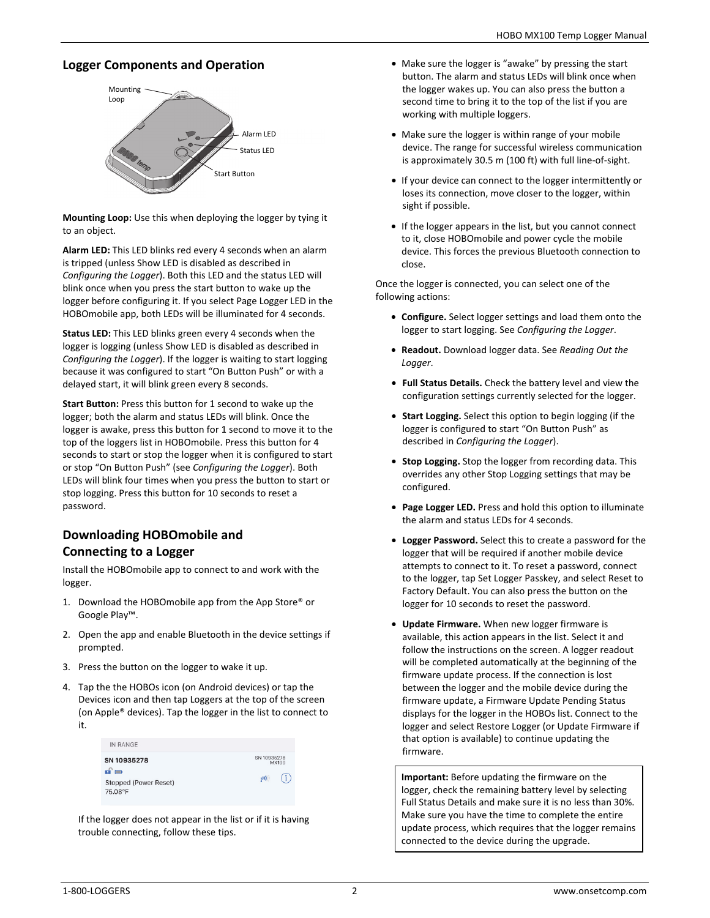# **Logger Components and Operation**



**Mounting Loop:** Use this when deploying the logger by tying it to an object.

**Alarm LED:** This LED blinks red every 4 seconds when an alarm is tripped (unless Show LED is disabled as described in *Configuring the Logger*). Both this LED and the status LED will blink once when you press the start button to wake up the logger before configuring it. If you select Page Logger LED in the HOBOmobile app, both LEDs will be illuminated for 4 seconds.

**Status LED:** This LED blinks green every 4 seconds when the logger is logging (unless Show LED is disabled as described in *Configuring the Logger*). If the logger is waiting to start logging because it was configured to start "On Button Push" or with a delayed start, it will blink green every 8 seconds.

**Start Button:** Press this button for 1 second to wake up the logger; both the alarm and status LEDs will blink. Once the logger is awake, press this button for 1 second to move it to the top of the loggers list in HOBOmobile. Press this button for 4 seconds to start or stop the logger when it is configured to start or stop "On Button Push" (see *Configuring the Logger*). Both LEDs will blink four times when you press the button to start or stop logging. Press this button for 10 seconds to reset a password.

# **Downloading HOBOmobile and Connecting to a Logger**

Install the HOBOmobile app to connect to and work with the logger.

- 1. Download the HOBOmobile app from the App Store® or Google Play™.
- 2. Open the app and enable Bluetooth in the device settings if prompted.
- 3. Press the button on the logger to wake it up.
- 4. Tap the the HOBOs icon (on Android devices) or tap the Devices icon and then tap Loggers at the top of the screen (on Apple® devices). Tap the logger in the list to connect to it.

| IN RANGE                                                |                      |
|---------------------------------------------------------|----------------------|
| SN 10935278                                             | SN 10935278<br>MX100 |
| $\mathbf{u} \equiv$<br>Stopped (Power Reset)<br>75.08°F | Ŧ<br>(01)            |

If the logger does not appear in the list or if it is having trouble connecting, follow these tips.

- Make sure the logger is "awake" by pressing the start button. The alarm and status LEDs will blink once when the logger wakes up. You can also press the button a second time to bring it to the top of the list if you are working with multiple loggers.
- Make sure the logger is within range of your mobile device. The range for successful wireless communication is approximately 30.5 m (100 ft) with full line-of-sight.
- If your device can connect to the logger intermittently or loses its connection, move closer to the logger, within sight if possible.
- If the logger appears in the list, but you cannot connect to it, close HOBOmobile and power cycle the mobile device. This forces the previous Bluetooth connection to close.

Once the logger is connected, you can select one of the following actions:

- **Configure.** Select logger settings and load them onto the logger to start logging. See *Configuring the Logger*.
- **Readout.** Download logger data. See *Reading Out the Logger*.
- **Full Status Details.** Check the battery level and view the configuration settings currently selected for the logger.
- **Start Logging.** Select this option to begin logging (if the logger is configured to start "On Button Push" as described in *Configuring the Logger*).
- **Stop Logging.** Stop the logger from recording data. This overrides any other Stop Logging settings that may be configured.
- **Page Logger LED.** Press and hold this option to illuminate the alarm and status LEDs for 4 seconds.
- **Logger Password.** Select this to create a password for the logger that will be required if another mobile device attempts to connect to it. To reset a password, connect to the logger, tap Set Logger Passkey, and select Reset to Factory Default. You can also press the button on the logger for 10 seconds to reset the password.
- **Update Firmware.** When new logger firmware is available, this action appears in the list. Select it and follow the instructions on the screen. A logger readout will be completed automatically at the beginning of the firmware update process. If the connection is lost between the logger and the mobile device during the firmware update, a Firmware Update Pending Status displays for the logger in the HOBOs list. Connect to the logger and select Restore Logger (or Update Firmware if that option is available) to continue updating the firmware.

**Important:** Before updating the firmware on the logger, check the remaining battery level by selecting Full Status Details and make sure it is no less than 30%. Make sure you have the time to complete the entire update process, which requires that the logger remains connected to the device during the upgrade.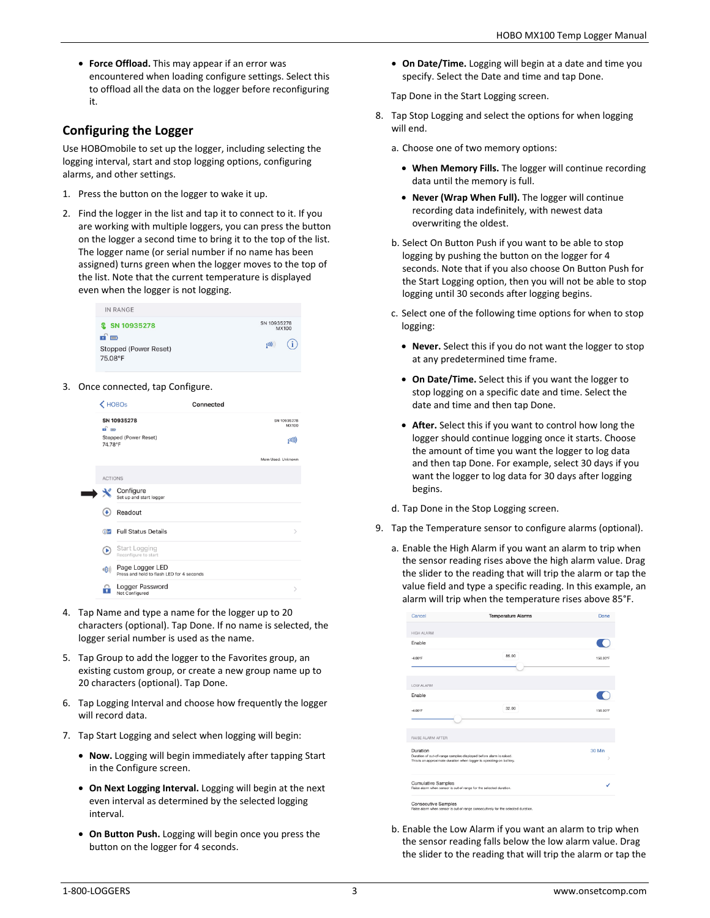• **Force Offload.** This may appear if an error was encountered when loading configure settings. Select this to offload all the data on the logger before reconfiguring it.

# **Configuring the Logger**

Use HOBOmobile to set up the logger, including selecting the logging interval, start and stop logging options, configuring alarms, and other settings.

- 1. Press the button on the logger to wake it up.
- 2. Find the logger in the list and tap it to connect to it. If you are working with multiple loggers, you can press the button on the logger a second time to bring it to the top of the list. The logger name (or serial number if no name has been assigned) turns green when the logger moves to the top of the list. Note that the current temperature is displayed even when the logger is not logging.



3. Once connected, tap Configure.



- 4. Tap Name and type a name for the logger up to 20 characters (optional). Tap Done. If no name is selected, the logger serial number is used as the name.
- 5. Tap Group to add the logger to the Favorites group, an existing custom group, or create a new group name up to 20 characters (optional). Tap Done.
- 6. Tap Logging Interval and choose how frequently the logger will record data.
- 7. Tap Start Logging and select when logging will begin:
	- **Now.** Logging will begin immediately after tapping Start in the Configure screen.
	- **On Next Logging Interval.** Logging will begin at the next even interval as determined by the selected logging interval.
	- **On Button Push.** Logging will begin once you press the button on the logger for 4 seconds.

• **On Date/Time.** Logging will begin at a date and time you specify. Select the Date and time and tap Done.

Tap Done in the Start Logging screen.

8. Tap Stop Logging and select the options for when logging will end.

a. Choose one of two memory options:

- **When Memory Fills.** The logger will continue recording data until the memory is full.
- **Never (Wrap When Full).** The logger will continue recording data indefinitely, with newest data overwriting the oldest.
- b. Select On Button Push if you want to be able to stop logging by pushing the button on the logger for 4 seconds. Note that if you also choose On Button Push for the Start Logging option, then you will not be able to stop logging until 30 seconds after logging begins.
- c. Select one of the following time options for when to stop logging:
	- **Never.** Select this if you do not want the logger to stop at any predetermined time frame.
	- **On Date/Time.** Select this if you want the logger to stop logging on a specific date and time. Select the date and time and then tap Done.
	- **After.** Select this if you want to control how long the logger should continue logging once it starts. Choose the amount of time you want the logger to log data and then tap Done. For example, select 30 days if you want the logger to log data for 30 days after logging begins.

d. Tap Done in the Stop Logging screen.

- 9. Tap the Temperature sensor to configure alarms (optional).
	- a. Enable the High Alarm if you want an alarm to trip when the sensor reading rises above the high alarm value. Drag the slider to the reading that will trip the alarm or tap the value field and type a specific reading. In this example, an alarm will trip when the temperature rises above 85°F.

| 158.00°F |
|----------|
|          |
|          |
|          |
|          |
|          |
| 158.00°F |
|          |
|          |
| 30 Min   |
|          |
|          |

b. Enable the Low Alarm if you want an alarm to trip when the sensor reading falls below the low alarm value. Drag the slider to the reading that will trip the alarm or tap the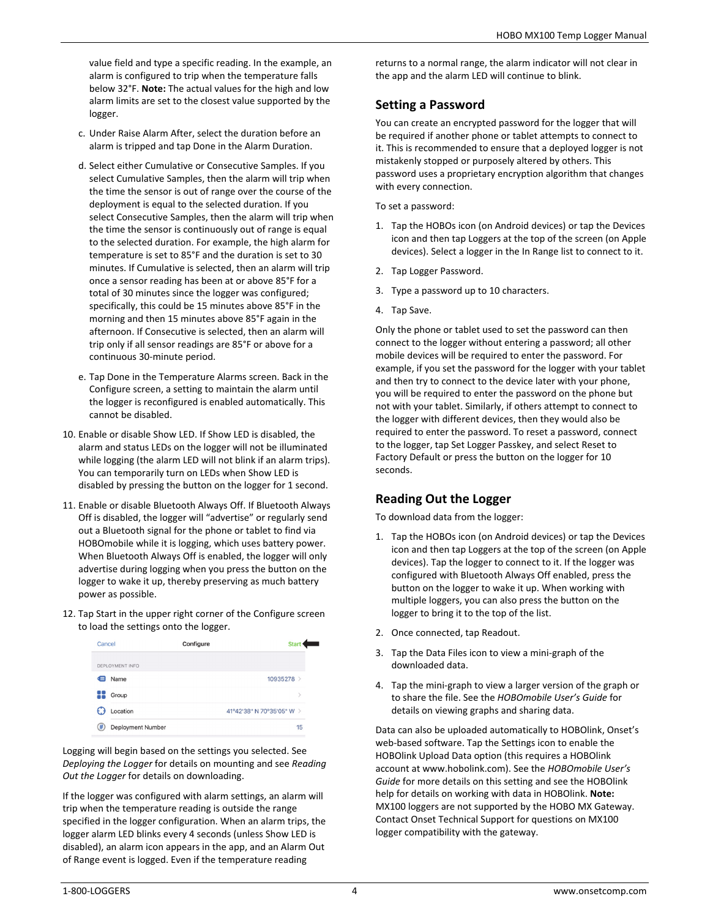value field and type a specific reading. In the example, an alarm is configured to trip when the temperature falls below 32°F. **Note:** The actual values for the high and low alarm limits are set to the closest value supported by the logger.

- c. Under Raise Alarm After, select the duration before an alarm is tripped and tap Done in the Alarm Duration.
- d. Select either Cumulative or Consecutive Samples. If you select Cumulative Samples, then the alarm will trip when the time the sensor is out of range over the course of the deployment is equal to the selected duration. If you select Consecutive Samples, then the alarm will trip when the time the sensor is continuously out of range is equal to the selected duration. For example, the high alarm for temperature is set to 85°F and the duration is set to 30 minutes. If Cumulative is selected, then an alarm will trip once a sensor reading has been at or above 85°F for a total of 30 minutes since the logger was configured; specifically, this could be 15 minutes above 85°F in the morning and then 15 minutes above 85°F again in the afternoon. If Consecutive is selected, then an alarm will trip only if all sensor readings are 85°F or above for a continuous 30-minute period.
- e. Tap Done in the Temperature Alarms screen. Back in the Configure screen, a setting to maintain the alarm until the logger is reconfigured is enabled automatically. This cannot be disabled.
- 10. Enable or disable Show LED. If Show LED is disabled, the alarm and status LEDs on the logger will not be illuminated while logging (the alarm LED will not blink if an alarm trips). You can temporarily turn on LEDs when Show LED is disabled by pressing the button on the logger for 1 second.
- 11. Enable or disable Bluetooth Always Off. If Bluetooth Always Off is disabled, the logger will "advertise" or regularly send out a Bluetooth signal for the phone or tablet to find via HOBOmobile while it is logging, which uses battery power. When Bluetooth Always Off is enabled, the logger will only advertise during logging when you press the button on the logger to wake it up, thereby preserving as much battery power as possible.
- 12. Tap Start in the upper right corner of the Configure screen to load the settings onto the logger.

| Cancel                 | Configure | <b>Star</b>               |    |
|------------------------|-----------|---------------------------|----|
| DEPLOYMENT INFO        |           |                           |    |
| Name<br>ਵ              |           | 10935278 >                |    |
| Group                  |           |                           |    |
| Location               |           | 41°42'38" N 70°35'05" W > |    |
| #<br>Deployment Number |           |                           | 15 |

Logging will begin based on the settings you selected. See *Deploying the Logger* for details on mounting and see *Reading Out the Logger* for details on downloading.

If the logger was configured with alarm settings, an alarm will trip when the temperature reading is outside the range specified in the logger configuration. When an alarm trips, the logger alarm LED blinks every 4 seconds (unless Show LED is disabled), an alarm icon appears in the app, and an Alarm Out of Range event is logged. Even if the temperature reading

returns to a normal range, the alarm indicator will not clear in the app and the alarm LED will continue to blink.

# **Setting a Password**

You can create an encrypted password for the logger that will be required if another phone or tablet attempts to connect to it. This is recommended to ensure that a deployed logger is not mistakenly stopped or purposely altered by others. This password uses a proprietary encryption algorithm that changes with every connection.

To set a password:

- 1. Tap the HOBOs icon (on Android devices) or tap the Devices icon and then tap Loggers at the top of the screen (on Apple devices). Select a logger in the In Range list to connect to it.
- 2. Tap Logger Password.
- 3. Type a password up to 10 characters.
- 4. Tap Save.

Only the phone or tablet used to set the password can then connect to the logger without entering a password; all other mobile devices will be required to enter the password. For example, if you set the password for the logger with your tablet and then try to connect to the device later with your phone, you will be required to enter the password on the phone but not with your tablet. Similarly, if others attempt to connect to the logger with different devices, then they would also be required to enter the password. To reset a password, connect to the logger, tap Set Logger Passkey, and select Reset to Factory Default or press the button on the logger for 10 seconds.

# **Reading Out the Logger**

To download data from the logger:

- 1. Tap the HOBOs icon (on Android devices) or tap the Devices icon and then tap Loggers at the top of the screen (on Apple devices). Tap the logger to connect to it. If the logger was configured with Bluetooth Always Off enabled, press the button on the logger to wake it up. When working with multiple loggers, you can also press the button on the logger to bring it to the top of the list.
- 2. Once connected, tap Readout.
- 3. Tap the Data Files icon to view a mini-graph of the downloaded data.
- 4. Tap the mini-graph to view a larger version of the graph or to share the file. See the *HOBOmobile User's Guide* for details on viewing graphs and sharing data.

Data can also be uploaded automatically to HOBOlink, Onset's web-based software. Tap the Settings icon to enable the HOBOlink Upload Data option (this requires a HOBOlink account at www.hobolink.com). See the *HOBOmobile User's Guide* for more details on this setting and see the HOBOlink help for details on working with data in HOBOlink. **Note:** MX100 loggers are not supported by the HOBO MX Gateway. Contact Onset Technical Support for questions on MX100 logger compatibility with the gateway.